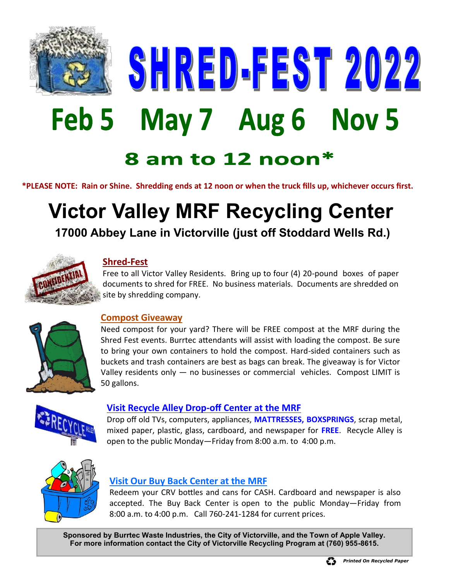

SHRED-FEST 2022 Feb 5 May 7 Aug 6 Nov 5

## 8 am to 12 noon\*

**\*PLEASE NOTE: Rain or Shine. Shredding ends at 12 noon or when the truck fills up, whichever occurs first.**

# **Victor Valley MRF Recycling Center**

**17000 Abbey Lane in Victorville (just off Stoddard Wells Rd.)**



#### **Shred-Fest**

Free to all Victor Valley Residents. Bring up to four (4) 20-pound boxes of paper documents to shred for FREE. No business materials. Documents are shredded on site by shredding company.



#### **Compost Giveaway**

Need compost for your yard? There will be FREE compost at the MRF during the Shred Fest events. Burrtec attendants will assist with loading the compost. Be sure to bring your own containers to hold the compost. Hard-sided containers such as buckets and trash containers are best as bags can break. The giveaway is for Victor Valley residents only — no businesses or commercial vehicles. Compost LIMIT is 50 gallons.



#### **Visit Recycle Alley Drop-off Center at the MRF**

Drop off old TVs, computers, appliances, **MATTRESSES, BOXSPRINGS**, scrap metal, mixed paper, plastic, glass, cardboard, and newspaper for **FREE**. Recycle Alley is open to the public Monday—Friday from 8:00 a.m. to 4:00 p.m.



#### **Visit Our Buy Back Center at the MRF**

Redeem your CRV bottles and cans for CASH. Cardboard and newspaper is also accepted. The Buy Back Center is open to the public Monday—Friday from 8:00 a.m. to 4:00 p.m. Call 760-241-1284 for current prices.

**Sponsored by Burrtec Waste Industries, the City of Victorville, and the Town of Apple Valley. For more information contact the City of Victorville Recycling Program at (760) 955-8615.**